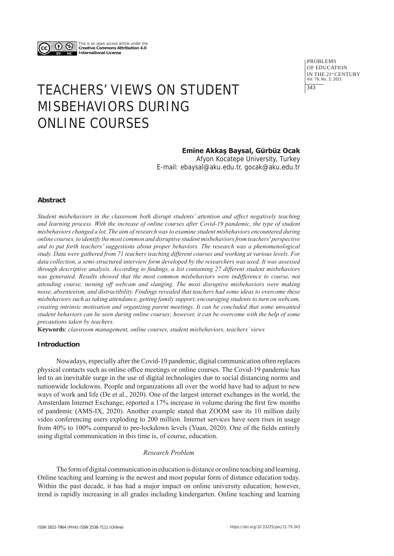

This is an open access article under the **Creative Commons Attribution 4.0 International License**

> PROBLEMS OF EDUCATION IN THE 21st CENTURY Vol. 79, No. 3, 2021 343

# TEACHERS' VIEWS ON STUDENT MISBEHAVIORS DURING ONLINE COURSES

# **Emine Akkaş Baysal, Gürbüz Ocak**

Afyon Kocatepe University, Turkey E-mail: ebaysal@aku.edu.tr, gocak@aku.edu.tr

## **Abstract**

*Student misbehaviors in the classroom both disrupt students' attention and affect negatively teaching and learning process. With the increase of online courses after Covid-19 pandemic, the type of student misbehaviors changed a lot. The aim of research was to examine student misbehaviors encountered during online courses, to identify the most common and disruptive student misbehaviors from teachers' perspective and to put forth teachers' suggestions about proper behaviors. The research was a phenomenological study. Data were gathered from 71 teachers teaching different courses and working at various levels. For data collection, a semi-structured interview form developed by the researchers was used. It was assessed through descriptive analysis. According to findings, a list containing 27 different student misbehaviors was generated. Results showed that the most common misbehaviors were indifference to course, not attending course, turning off webcam and slanging. The most disruptive misbehaviors were making noise, absenteeism, and distractibility. Findings revealed that teachers had some ideas to overcome these misbehaviors such as taking attendance, getting family support, encouraging students to turn on webcam, creating intrinsic motivation and organizing parent meetings. It can be concluded that some unwanted student behaviors can be seen during online courses; however, it can be overcome with the help of some precautions taken by teachers.* 

**Keywords**: *classroom management, online courses, student misbehaviors, teachers' views*

## **Introduction**

Nowadays, especially after the Covid-19 pandemic, digital communication often replaces physical contacts such as online office meetings or online courses. The Covid-19 pandemic has led to an inevitable surge in the use of digital technologies due to social distancing norms and nationwide lockdowns. People and organizations all over the world have had to adjust to new ways of work and life (De et al., 2020). One of the largest internet exchanges in the world, the Amsterdam Internet Exchange, reported a 17% increase in volume during the first few months of pandemic (AMS-IX, 2020). Another example stated that ZOOM saw its 10 million daily video conferencing users exploding to 200 million. Internet services have seen rises in usage from 40% to 100% compared to pre-lockdown levels (Yuan, 2020). One of the fields entirely using digital communication in this time is, of course, education.

## *Research Problem*

The form of digital communication in education is distance or online teaching and learning. Online teaching and learning is the newest and most popular form of distance education today. Within the past decade, it has had a major impact on online university education; however, trend is rapidly increasing in all grades including kindergarten. Online teaching and learning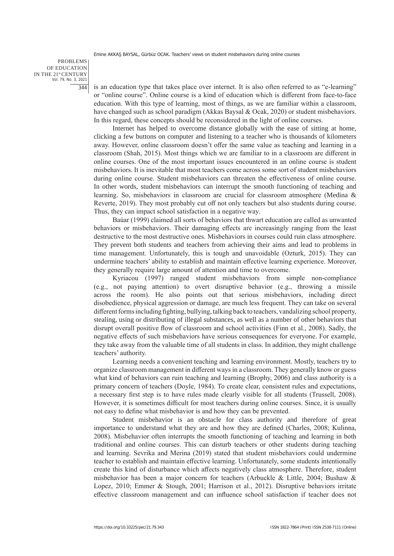#### PROBLEMS OF EDUCATION IN THE 21st CENTURY Vol. 79, No. 3, 2021 344

is an education type that takes place over internet. It is also often referred to as "e-learning" or "online course". Online course is a kind of education which is different from face-to-face education. With this type of learning, most of things, as we are familiar within a classroom, have changed such as school paradigm (Akkas Baysal & Ocak, 2020) or student misbehaviors. In this regard, these concepts should be reconsidered in the light of online courses.

Internet has helped to overcome distance globally with the ease of sitting at home, clicking a few buttons on computer and listening to a teacher who is thousands of kilometers away. However, online classroom doesn't offer the same value as teaching and learning in a classroom (Shah, 2015). Most things which we are familiar to in a classroom are different in online courses. One of the most important issues encountered in an online course is student misbehaviors. It is inevitable that most teachers come across some sort of student misbehaviors during online course. Student misbehaviors can threaten the effectiveness of online course. In other words, student misbehaviors can interrupt the smooth functioning of teaching and learning. So, misbehaviors in classroom are crucial for classroom atmosphere (Medina & Reverte, 2019). They most probably cut off not only teachers but also students during course. Thus, they can impact school satisfaction in a negative way.

Baúar (1999) claimed all sorts of behaviors that thwart education are called as unwanted behaviors or misbehaviors. Their damaging effects are increasingly ranging from the least destructive to the most destructive ones. Misbehaviors in courses could ruin class atmosphere. They prevent both students and teachers from achieving their aims and lead to problems in time management. Unfortunately, this is tough and unavoidable (Ozturk, 2015). They can undermine teachers' ability to establish and maintain effective learning experience. Moreover, they generally require large amount of attention and time to overcome.

Kyriacou (1997) ranged student misbehaviors from simple non-compliance (e.g., not paying attention) to overt disruptive behavior (e.g., throwing a missile across the room). He also points out that serious misbehaviors, including direct disobedience, physical aggression or damage, are much less frequent. They can take on several different forms including fighting, bullying, talking back to teachers, vandalizing school property, stealing, using or distributing of illegal substances, as well as a number of other behaviors that disrupt overall positive flow of classroom and school activities (Finn et al., 2008). Sadly, the negative effects of such misbehaviors have serious consequences for everyone. For example, they take away from the valuable time of all students in class. In addition, they might challenge teachers' authority.

Learning needs a convenient teaching and learning environment. Mostly, teachers try to organize classroom management in different ways in a classroom. They generally know or guess what kind of behaviors can ruin teaching and learning (Brophy, 2006) and class authority is a primary concern of teachers (Doyle, 1984). To create clear, consistent rules and expectations, a necessary first step is to have rules made clearly visible for all students (Trussell, 2008). However, it is sometimes difficult for most teachers during online courses. Since, it is usually not easy to define what misbehavior is and how they can be prevented.

Student misbehavior is an obstacle for class authority and therefore of great importance to understand what they are and how they are defined (Charles, 2008; Kulinna, 2008). Misbehavior often interrupts the smooth functioning of teaching and learning in both traditional and online courses. This can disturb teachers or other students during teaching and learning. Sevrika and Merina (2019) stated that student misbehaviors could undermine teacher to establish and maintain effective learning. Unfortunately, some students intentionally create this kind of disturbance which affects negatively class atmosphere. Therefore, student misbehavior has been a major concern for teachers (Arbuckle & Little, 2004; Bushaw & Lopez, 2010; Emmer & Stough, 2001; Harrison et al., 2012). Disruptive behaviors irritate effective classroom management and can influence school satisfaction if teacher does not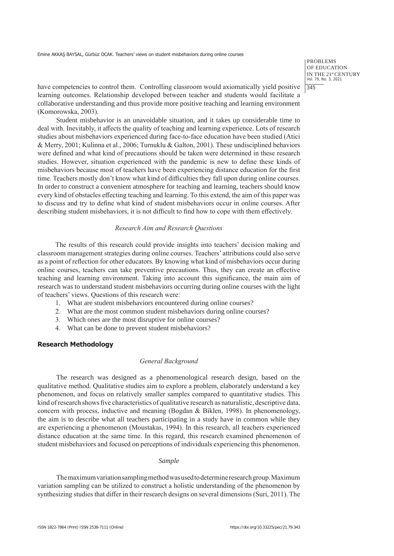PROBLEMS OF EDUCATION IN THE 21<sup>st</sup> CENTURY<br>Vol. 79, No. 3, 2021 345

have competencies to control them. Controlling classroom would axiomatically yield positive learning outcomes. Relationship developed between teacher and students would facilitate a collaborative understanding and thus provide more positive teaching and learning environment (Komorowska, 2003).

Student misbehavior is an unavoidable situation, and it takes up considerable time to deal with. Inevitably, it affects the quality of teaching and learning experience. Lots of research studies about misbehaviors experienced during face-to-face education have been studied (Atici & Merry, 2001; Kulinna et al., 2006; Turnuklu & Galton, 2001). These undisciplined behaviors were defined and what kind of precautions should be taken were determined in these research studies. However, situation experienced with the pandemic is new to define these kinds of misbehaviors because most of teachers have been experiencing distance education for the first time. Teachers mostly don't know what kind of difficulties they fall upon during online courses. In order to construct a convenient atmosphere for teaching and learning, teachers should know every kind of obstacles effecting teaching and learning. To this extend, the aim of this paper was to discuss and try to define what kind of student misbehaviors occur in online courses. After describing student misbehaviors, it is not difficult to find how to cope with them effectively.

#### *Research Aim and Research Questions*

The results of this research could provide insights into teachers' decision making and classroom management strategies during online courses. Teachers' attributions could also serve as a point of reflection for other educators. By knowing what kind of misbehaviors occur during online courses, teachers can take preventive precautions. Thus, they can create an effective teaching and learning environment. Taking into account this significance, the main aim of research was to understand student misbehaviors occurring during online courses with the light of teachers' views. Questions of this research were:

- 1. What are student misbehaviors encountered during online courses?
- 2. What are the most common student misbehaviors during online courses?
- 3. Which ones are the most disruptive for online courses?
- 4. What can be done to prevent student misbehaviors?

## **Research Methodology**

#### *General Background*

The research was designed as a phenomenological research design, based on the qualitative method. Qualitative studies aim to explore a problem, elaborately understand a key phenomenon, and focus on relatively smaller samples compared to quantitative studies. This kind of research shows five characteristics of qualitative research as naturalistic, descriptive data, concern with process, inductive and meaning (Bogdan & Biklen, 1998). In phenomenology, the aim is to describe what all teachers participating in a study have in common while they are experiencing a phenomenon (Moustakas, 1994). In this research, all teachers experienced distance education at the same time. In this regard, this research examined phenomenon of student misbehaviors and focused on perceptions of individuals experiencing this phenomenon.

#### *Sample*

The maximum variation sampling method was used to determine research group. Maximum variation sampling can be utilized to construct a holistic understanding of the phenomenon by synthesizing studies that differ in their research designs on several dimensions (Suri, 2011). The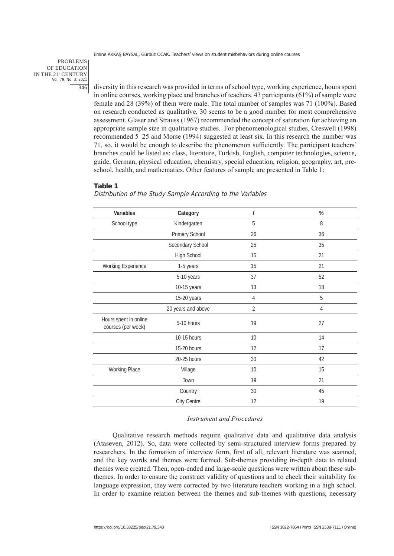#### PROBLEMS OF EDUCATION IN THE 21st CENTURY Vol. 79, No. 3, 2021 346

diversity in this research was provided in terms of school type, working experience, hours spent in online courses, working place and branches of teachers. 43 participants (61%) of sample were female and 28 (39%) of them were male. The total number of samples was 71 (100%). Based on research conducted as qualitative, 30 seems to be a good number for most comprehensive assessment. Glaser and Strauss (1967) recommended the concept of saturation for achieving an appropriate sample size in qualitative studies. For phenomenological studies, Creswell (1998) recommended 5–25 and Morse (1994) suggested at least six. In this research the number was 71, so, it would be enough to describe the phenomenon sufficiently. The participant teachers' branches could be listed as: class, literature, Turkish, English, computer technologies, science, guide, German, physical education, chemistry, special education, religion, geography, art, preschool, health, and mathematics. Other features of sample are presented in Table 1:

#### **Table 1**

Distribution of the Study Sample According to the Variables

| Variables                                   | Category           | f              | %              |
|---------------------------------------------|--------------------|----------------|----------------|
| School type                                 | Kindergarten       | 5              | 8              |
|                                             | Primary School     | 26             | 36             |
|                                             | Secondary School   | 25             | 35             |
|                                             | High School        | 15             | 21             |
| Working Experience                          | 1-5 years          | 15             | 21             |
|                                             | 5-10 years         | 37             | 52             |
|                                             | 10-15 years        | 13             | 18             |
|                                             | 15-20 years        | 4              | 5              |
|                                             | 20 years and above | $\overline{2}$ | $\overline{4}$ |
| Hours spent in online<br>courses (per week) | 5-10 hours         | 19             | 27             |
|                                             | 10-15 hours        | 10             | 14             |
|                                             | 15-20 hours        | 12             | 17             |
|                                             | 20-25 hours        | 30             | 42             |
| Working Place                               | Village            | 10             | 15             |
|                                             | Town               | 19             | 21             |
|                                             | Country            | 30             | 45             |
|                                             | City Centre        | 12             | 19             |

#### *Instrument and Procedures*

Qualitative research methods require qualitative data and qualitative data analysis (Ataseven, 2012). So, data were collected by semi-structured interview forms prepared by researchers. In the formation of interview form, first of all, relevant literature was scanned, and the key words and themes were formed. Sub-themes providing in-depth data to related themes were created. Then, open-ended and large-scale questions were written about these subthemes. In order to ensure the construct validity of questions and to check their suitability for language expression, they were corrected by two literature teachers working in a high school. In order to examine relation between the themes and sub-themes with questions, necessary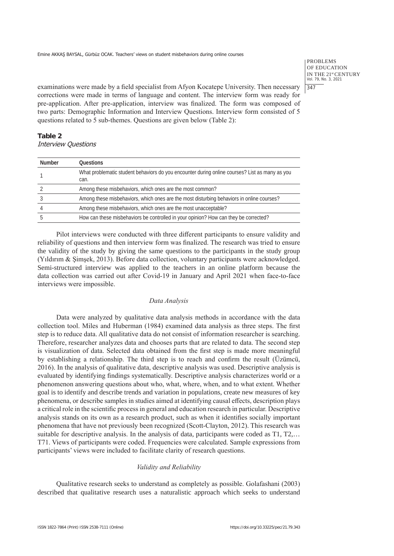PROBLEMS OF EDUCATION IN THE 21st CENTURY Vol. 79, No. 3, 2021  $|347$ 

examinations were made by a field specialist from Afyon Kocatepe University. Then necessary corrections were made in terms of language and content. The interview form was ready for pre-application. After pre-application, interview was finalized. The form was composed of two parts: Demographic Information and Interview Questions. Interview form consisted of 5 questions related to 5 sub-themes. Questions are given below (Table 2):

## **Table 2** Interview Questions

| <b>Number</b> | <b>Questions</b>                                                                                       |
|---------------|--------------------------------------------------------------------------------------------------------|
|               | What problematic student behaviors do you encounter during online courses? List as many as you<br>can. |
|               | Among these misbehaviors, which ones are the most common?                                              |
|               | Among these misbehaviors, which ones are the most disturbing behaviors in online courses?              |
|               | Among these misbehaviors, which ones are the most unacceptable?                                        |
|               | How can these misbehaviors be controlled in your opinion? How can they be corrected?                   |

Pilot interviews were conducted with three different participants to ensure validity and reliability of questions and then interview form was finalized. The research was tried to ensure the validity of the study by giving the same questions to the participants in the study group (Yıldırım & Şimşek, 2013). Before data collection, voluntary participants were acknowledged. Semi-structured interview was applied to the teachers in an online platform because the data collection was carried out after Covid-19 in January and April 2021 when face-to-face interviews were impossible.

## *Data Analysis*

Data were analyzed by qualitative data analysis methods in accordance with the data collection tool. Miles and Huberman (1984) examined data analysis as three steps. The first step is to reduce data. All qualitative data do not consist of information researcher is searching. Therefore, researcher analyzes data and chooses parts that are related to data. The second step is visualization of data. Selected data obtained from the first step is made more meaningful by establishing a relationship. The third step is to reach and confirm the result (Üzümcü, 2016). In the analysis of qualitative data, descriptive analysis was used. Descriptive analysis is evaluated by identifying findings systematically. Descriptive analysis characterizes world or a phenomenon answering questions about who, what, where, when, and to what extent. Whether goal is to identify and describe trends and variation in populations, create new measures of key phenomena, or describe samples in studies aimed at identifying causal effects, description plays a critical role in the scientific process in general and education research in particular. Descriptive analysis stands on its own as a research product, such as when it identifies socially important phenomena that have not previously been recognized (Scott-Clayton, 2012). This research was suitable for descriptive analysis. In the analysis of data, participants were coded as T1, T2,… T71. Views of participants were coded. Frequencies were calculated. Sample expressions from participants' views were included to facilitate clarity of research questions.

## *Validity and Reliability*

Qualitative research seeks to understand as completely as possible. Golafashani (2003) described that qualitative research uses a naturalistic approach which seeks to understand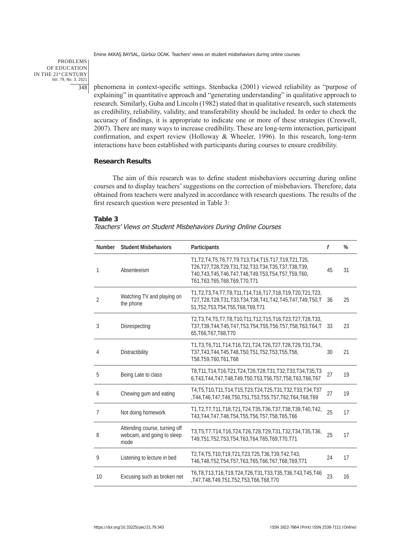PROBLEMS OF EDUCATION IN THE 21st CENTURY Vol. 79, No. 3, 2021 348

phenomena in context-specific settings. Stenbacka (2001) viewed reliability as "purpose of explaining" in quantitative approach and "generating understanding" in qualitative approach to research. Similarly, Guba and Lincoln (1982) stated that in qualitative research, such statements as credibility, reliability, validity, and transferability should be included. In order to check the accuracy of findings, it is appropriate to indicate one or more of these strategies (Creswell, 2007). There are many ways to increase credibility. These are long-term interaction, participant confirmation, and expert review (Holloway & Wheeler, 1996). In this research, long-term interactions have been established with participants during courses to ensure credibility.

## **Research Results**

The aim of this research was to define student misbehaviors occurring during online courses and to display teachers' suggestions on the correction of misbehaviors. Therefore, data obtained from teachers were analyzed in accordance with research questions. The results of the first research question were presented in Table 3:

#### **Table 3**

|  | Teachers' Views on Student Misbehaviors During Online Courses |  |  |
|--|---------------------------------------------------------------|--|--|
|--|---------------------------------------------------------------|--|--|

| <b>Number</b>  | <b>Student Misbehaviors</b>                                         | Participants                                                                                                                                                                                                                      | $\mathbf f$ | %  |
|----------------|---------------------------------------------------------------------|-----------------------------------------------------------------------------------------------------------------------------------------------------------------------------------------------------------------------------------|-------------|----|
| 1              | Absenteeism                                                         | T1, T2, T4, T5, T6, T7, T9, T13, T14, T15, T17, T19, T21, T25,<br>T26, T27, T28, T29, T31, T32, T33, T34, T35, T37, T38, T39,<br>T40, T43, T45, T46, T47, T48, T49, T53, T54, T57, T59, T60,<br>T61, T63, T65, T68, T69, T70, T71 | 45          | 31 |
| $\overline{2}$ | Watching TV and playing on<br>the phone                             | T1, T2, T3, T4, T7, T8, T11, T14, T16, T17, T18, T19, T20, T21, T23,<br>T27, T28, T29, T31, T33, T34, T38, T41, T42, T45, T47, T49, T50, T<br>51, T52, T53, T54, T55, T68, T69, T71                                               | 36          | 25 |
| 3              | Disrespecting                                                       | T2, T3, T4, T5, T7, T8, T10, T11, T12, T15, T16, T23, T27, T28, T33,<br>T37, T39, T44, T45, T47, T53, T54, T55, T56, T57, T58, T63, T64, T<br>65, T66, T67, T68, T70                                                              | 33          | 23 |
| 4              | Distractibility                                                     | T1, T3, T6, T11, T14, T16, T21, T24, T26, T27, T28, T29, T31, T34,<br>T37, T43, T44, T45, T48, T50, T51, T52, T53, T55, T56,<br>T58, T59, T60, T61, T68                                                                           | 30          | 21 |
| 5              | Being Late to class                                                 | T8, T11, T14, T16, T21, T24, T26, T28, T31, T32, T33, T34, T35, T3<br>6, T43, T44, T47, T48, T49, T50, T53, T56, T57, T58, T63, T66, T67                                                                                          | 27          | 19 |
| 6              | Chewing gum and eating                                              | T4, T5, T10, T11, T14, T15, T23, T24, T25, T31, T32, T33, T34, T37<br>T44, T46, T47, T48, T50, T51, T53, T55, T57, T62, T64, T68, T69                                                                                             | 27          | 19 |
| $\overline{7}$ | Not doing homework                                                  | T1, T2, T7, T11, T18, T21, T24, T35, T36, T37, T38, T39, T40, T42,<br>T43, T44, T47, T48, T54, T55, T56, T57, T58, T65, T66                                                                                                       | 25          | 17 |
| 8              | Attending course, turning off<br>webcam, and going to sleep<br>mode | T3, T5, T7, T14, T16, T24, T26, T28, T29, T31, T32, T34, T35, T36,<br>T49, T51, T52, T53, T54, T63, T64, T65, T69, T70, T71                                                                                                       | 25          | 17 |
| 9              | Listening to lecture in bed                                         | T2, T4, T5, T10, T19, T21, T23, T25, T36, T39, T42, T43,<br>T46, T48, T52, T54, T57, T63, T65, T66, T67, T68, T69, T71                                                                                                            | 24          | 17 |
| 10             | Excusing such as broken net                                         | T6, T8, T13, T16, T19, T24, T26, T31, T33, T35, T36, T43, T45, T46<br>T47, T48, T49, T51, T52, T53, T66, T68, T70,                                                                                                                | 23          | 16 |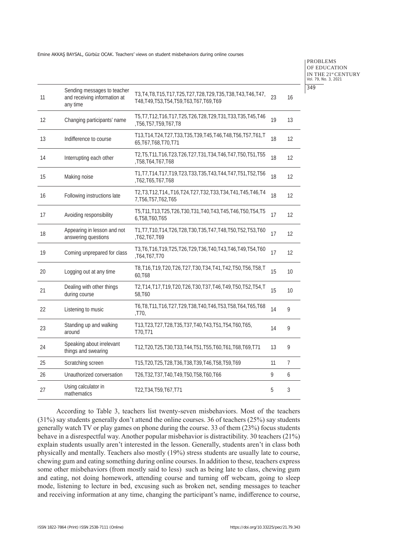PROBLEMS OF EDUCATION IN THE 21<sup>st</sup> CENTURY<br>Vol. 79, No. 3, 2021 349

| 11 | Sending messages to teacher<br>and receiving information at<br>any time | T3, T4, T8, T15, T17, T25, T27, T28, T29, T35, T38, T43, T46, T47,<br>T48, T49, T53, T54, T59, T63, T67, T69, T69 | 23 | 16 |
|----|-------------------------------------------------------------------------|-------------------------------------------------------------------------------------------------------------------|----|----|
| 12 | Changing participants' name                                             | T5, T7, T12, T16, T17, T25, T26, T28, T29, T31, T33, T35, T45, T46<br>,T56,T57,T59,T67,T8                         | 19 | 13 |
| 13 | Indifference to course                                                  | T13, T14, T24, T27, T33, T35, T39, T45, T46, T48, T56, T57, T61, T<br>65, T67, T68, T70, T71                      | 18 | 12 |
| 14 | Interrupting each other                                                 | T2, T5, T11, T16, T23, T26, T27, T31, T34, T46, T47, T50, T51, T55<br>T58, T64, T67, T68                          | 18 | 12 |
| 15 | Making noise                                                            | T1, T7, T14, T17, T19, T23, T33, T35, T43, T44, T47, T51, T52, T56<br>T62, T65, T67, T68                          | 18 | 12 |
| 16 | Following instructions late                                             | T2, T3, T12, T14, , T16, T24, T27, T32, T33, T34, T41, T45, T46, T4<br>7, T56, T57, T62, T65                      | 18 | 12 |
| 17 | Avoiding responsibility                                                 | T5, T11, T13, T25, T26, T30, T31, T40, T43, T45, T46, T50, T54, T5<br>6, T58, T60, T65                            | 17 | 12 |
| 18 | Appearing in lesson and not<br>answering questions                      | T1, T7, T10, T14, T26, T28, T30, T35, T47, T48, T50, T52, T53, T60<br>T62,T67,T69                                 | 17 | 12 |
| 19 | Coming unprepared for class                                             | T3, T6, T16, T19, T25, T26, T29, T36, T40, T43, T46, T49, T54, T60<br>T64, T67, T70                               | 17 | 12 |
| 20 | Logging out at any time                                                 | T8, T16, T19, T20, T26, T27, T30, T34, T41, T42, T50, T56, T58, T<br>60,T68                                       | 15 | 10 |
| 21 | Dealing with other things<br>during course                              | T2, T14, T17, T19, T20, T26, T30, T37, T46, T49, T50, T52, T54, T<br>58,T60                                       | 15 | 10 |
| 22 | Listening to music                                                      | T6, T8, T11, T16, T27, T29, T38, T40, T46, T53, T58, T64, T65, T68<br>,T70,                                       | 14 | 9  |
| 23 | Standing up and walking<br>around                                       | T13, T23, T27, T28, T35, T37, T40, T43, T51, T54, T60, T65,<br>T70,T71                                            | 14 | 9  |
| 24 | Speaking about irrelevant<br>things and swearing                        | T12, T20, T25, T30, T33, T44, T51, T55, T60, T61, T68, T69, T71                                                   | 13 | 9  |
| 25 | Scratching screen                                                       | T15, T20, T25, T28, T36, T38, T39, T46, T58, T59, T69                                                             | 11 | 7  |
| 26 | Unauthorized conversation                                               | T26, T32, T37, T40, T49, T50, T58, T60, T66                                                                       | 9  | 6  |
| 27 | Using calculator in<br>mathematics                                      | T22, T34, T59, T67, T71                                                                                           | 5  | 3  |

According to Table 3, teachers list twenty-seven misbehaviors. Most of the teachers (31%) say students generally don't attend the online courses. 36 of teachers (25%) say students generally watch TV or play games on phone during the course. 33 of them (23%) focus students behave in a disrespectful way. Another popular misbehavior is distractibility. 30 teachers (21%) explain students usually aren't interested in the lesson. Generally, students aren't in class both physically and mentally. Teachers also mostly (19%) stress students are usually late to course, chewing gum and eating something during online courses. In addition to these, teachers express some other misbehaviors (from mostly said to less) such as being late to class, chewing gum and eating, not doing homework, attending course and turning off webcam, going to sleep mode, listening to lecture in bed, excusing such as broken net, sending messages to teacher and receiving information at any time, changing the participant's name, indifference to course,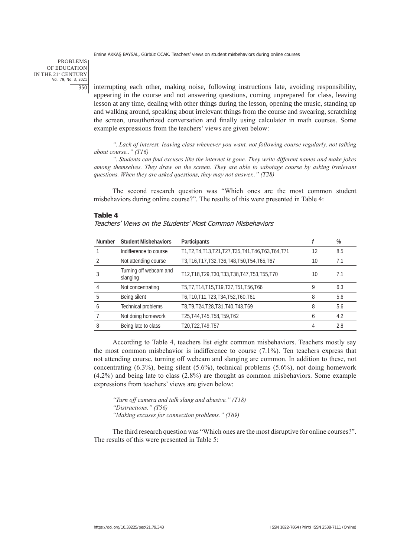PROBLEMS OF EDUCATION IN THE 21st CENTURY Vol. 79, No. 3, 2021 350

interrupting each other, making noise, following instructions late, avoiding responsibility, appearing in the course and not answering questions, coming unprepared for class, leaving lesson at any time, dealing with other things during the lesson, opening the music, standing up and walking around, speaking about irrelevant things from the course and swearing, scratching the screen, unauthorized conversation and finally using calculator in math courses. Some example expressions from the teachers' views are given below:

*"..Lack of interest, leaving class whenever you want, not following course regularly, not talking about course.." (T16)*

*"..Students can find excuses like the internet is gone. They write different names and make jokes among themselves. They draw on the screen. They are able to sabotage course by asking irrelevant questions. When they are asked questions, they may not answer.." (T28)*

The second research question was "Which ones are the most common student misbehaviors during online course?". The results of this were presented in Table 4:

#### **Table 4**

| <b>Number</b> | <b>Student Misbehaviors</b>        | Participants                                            |    | %   |
|---------------|------------------------------------|---------------------------------------------------------|----|-----|
|               | Indifference to course             | T1, T2, T4, T13, T21, T27, T35, T41, T46, T63, T64, T71 | 12 | 8.5 |
|               | Not attending course               | T3, T16, T17, T32, T36, T48, T50, T54, T65, T67         | 10 | 7.1 |
|               | Turning off webcam and<br>slanging | T12, T18, T29, T30, T33, T38, T47, T53, T55, T70        | 10 | 7.1 |
|               | Not concentrating                  | T5, T7, T14, T15, T19, T37, T51, T56, T66               | 9  | 6.3 |
| 5             | Being silent                       | T6, T10, T11, T23, T34, T52, T60, T61                   | 8  | 5.6 |
| 6             | Technical problems                 | T8, T9, T24, T28, T31, T40, T43, T69                    | 8  | 5.6 |
|               | Not doing homework                 | T25, T44, T45, T58, T59, T62                            | 6  | 4.2 |
| 8             | Being late to class                | T20, T22, T49, T57                                      | 4  | 2.8 |

#### Teachers' Views on the Students' Most Common Misbehaviors

According to Table 4, teachers list eight common misbehaviors. Teachers mostly say the most common misbehavior is indifference to course (7.1%). Ten teachers express that not attending course, turning off webcam and slanging are common. In addition to these, not concentrating (6.3%), being silent (5.6%), technical problems (5.6%), not doing homework (4.2%) and being late to class (2.8%) are thought as common misbehaviors. Some example expressions from teachers' views are given below:

*"Turn off camera and talk slang and abusive." (T18) "Distractions." (T56) "Making excuses for connection problems." (T69)*

The third research question was "Which ones are the most disruptive for online courses?". The results of this were presented in Table 5: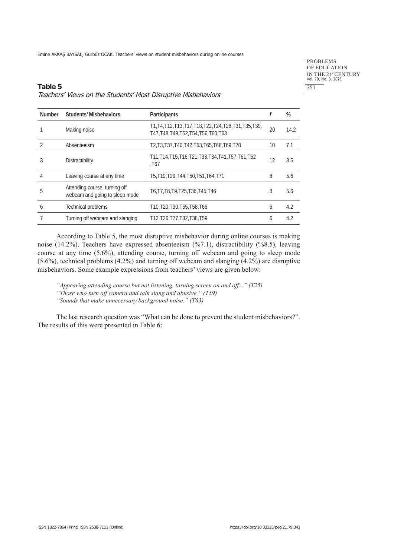PROBLEMS OF EDUCATION IN THE 21<sup>st</sup> CENTURY<br>Vol. 79, No. 3, 2021 351

## **Table 5** Teachers' Views on the Students' Most Disruptive Misbehaviors

| <b>Number</b> | <b>Students' Misbehaviors</b>                                   | Participants                                                                                 |    | %    |
|---------------|-----------------------------------------------------------------|----------------------------------------------------------------------------------------------|----|------|
|               | Making noise                                                    | T1, T4, T12, T13, T17, T18, T22, T24, T28, T31, T35, T39,<br>T47.T48.T49.T52.T54.T56.T60.T63 | 20 | 14.2 |
|               | Absenteeism                                                     | T2, T3, T37, T40, T42, T53, T65, T68, T69, T70                                               | 10 | 7.1  |
| 3             | <b>Distractibility</b>                                          | T11, T14, T15, T16, T21, T33, T34, T41, T57, T61, T62<br>.T67                                | 12 | 8.5  |
|               | Leaving course at any time                                      | T5, T19, T29, T44, T50, T51, T64, T71                                                        | 8  | 5.6  |
| 5             | Attending course, turning off<br>webcam and going to sleep mode | T6, T7, T8, T9, T25, T36, T45, T46                                                           | 8  | 5.6  |
| 6             | Technical problems                                              | T10.T20.T30.T55.T58.T66                                                                      | 6  | 4.2  |
|               | Turning off webcam and slanging                                 | T12, T26, T27, T32, T38, T59                                                                 | 6  | 4.2  |

According to Table 5, the most disruptive misbehavior during online courses is making noise (14.2%). Teachers have expressed absenteeism (%7.1), distractibility (%8.5), leaving course at any time (5.6%), attending course, turning off webcam and going to sleep mode (5.6%), technical problems (4.2%) and turning off webcam and slanging (4.2%) are disruptive misbehaviors. Some example expressions from teachers' views are given below:

*"Appearing attending course but not listening, turning screen on and off..." (T25) "Those who turn off camera and talk slang and abusive." (T59)*

*"Sounds that make unnecessary background noise." (T63)*

The last research question was "What can be done to prevent the student misbehaviors?". The results of this were presented in Table 6: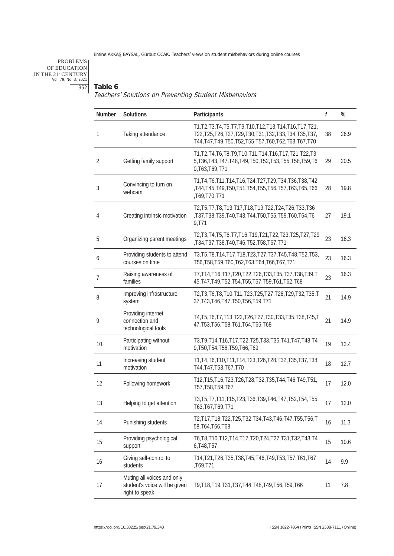# PROBLEMS OF EDUCATION IN THE 21stCENTURY Vol. 79, No. 3, 2021 352

#### **Table 6**

Teachers' Solutions on Preventing Student Misbehaviors

| Number | Solutions                                                                     | Participants                                                                                                                                                                                | f  | %    |
|--------|-------------------------------------------------------------------------------|---------------------------------------------------------------------------------------------------------------------------------------------------------------------------------------------|----|------|
| 1      | Taking attendance                                                             | T1, T2, T3, T4, T5, T7, T9, T10, T12, T13, T14, T16, T17, T21,<br>T22, T25, T26, T27, T29, T30, T31, T32, T33, T34, T35, T37,<br>T44, T47, T49, T50, T52, T55, T57, T60, T62, T63, T67, T70 | 38 | 26.9 |
| 2      | Getting family support                                                        | T1, T2, T4, T6, T8, T9, T10, T11, T14, T16, T17, T21, T22, T3<br>5, T36, T43, T47, T48, T49, T50, T52, T53, T55, T58, T59, T6<br>0, T63, T69, T71                                           | 29 | 20.5 |
| 3      | Convincing to turn on<br>webcam                                               | T1, T4, T6, T11, T14, T16, T24, T27, T29, T34, T36, T38, T42<br>,T44,T45,T49,T50,T51,T54,T55,T56,T57,T63,T65,T66<br>,T69,T70,T71                                                            | 28 | 19.8 |
| 4      | Creating intrinsic motivation                                                 | T2, T5, T7, T8, T13, T17, T18, T19, T22, T24, T26, T33, T36<br>,T37,T38,T39,T40,T43,T44,T50,T55,T59,T60,T64,T6<br>9,T71                                                                     | 27 | 19.1 |
| 5      | Organizing parent meetings                                                    | T2, T3, T4, T5, T6, T7, T16, T19, T21, T22, T23, T25, T27, T29<br>T34, T37, T38, T40, T46, T52, T58, T67, T71,                                                                              | 23 | 16.3 |
| 6      | Providing students to attend<br>courses on time                               | T3, T5, T8, T14, T17, T18, T23, T27, T37, T45, T48, T52, T53,<br>T56, T58, T59, T60, T62, T63, T64, T66, T67, T71                                                                           | 23 | 16.3 |
| 7      | Raising awareness of<br>families                                              | T7, T14, T16, T17, T20, T22, T26, T33, T35, T37, T38, T39, T<br>45, T47, T49, T52, T54, T55, T57, T59, T61, T62, T68                                                                        | 23 | 16.3 |
| 8      | Improving infrastructure<br>system                                            | T2, T3, T6, T8, T10, T11, T23, T25, T27, T28, T29, T32, T35, T<br>37, T43, T46, T47, T50, T56, T59, T71                                                                                     | 21 | 14.9 |
| 9      | Providing internet<br>connection and<br>technological tools                   | T4, T5, T6, T7, T13, T22, T26, T27, T30, T33, T35, T38, T45, T<br>47, T53, T56, T58, T61, T64, T65, T68                                                                                     | 21 | 14.9 |
| 10     | Participating without<br>motivation                                           | T3, T9, T14, T16, T17, T22, T25, T33, T35, T41, T47, T48, T4<br>9, T50, T54, T58, T59, T66, T69                                                                                             | 19 | 13.4 |
| 11     | Increasing student<br>motivation                                              | T1, T4, T6, T10, T11, T14, T23, T26, T28, T32, T35, T37, T38,<br>T44, T47, T53, T67, T70                                                                                                    | 18 | 12.7 |
| 12     | Following homework                                                            | T12, T15, T16, T23, T26, T28, T32, T35, T44, T46, T49, T51,<br>T57, T58, T59, T67                                                                                                           | 17 | 12.0 |
| 13     | Helping to get attention                                                      | T3, T5, T7, T11, T15, T23, T36, T39, T46, T47, T52, T54, T55,<br>T63, T67, T69, T71                                                                                                         | 17 | 12.0 |
| 14     | Punishing students                                                            | T2, T17, T18, T22, T25, T32, T34, T43, T46, T47, T55, T56, T<br>58, T64, T66, T68                                                                                                           | 16 | 11.3 |
| 15     | Providing psychological<br>support                                            | T6, T8, T10, T12, T14, T17, T20, T24, T27, T31, T32, T43, T4<br>6, T48, T57                                                                                                                 | 15 | 10.6 |
| 16     | Giving self-control to<br>students                                            | T14, T21, T26, T35, T38, T45, T46, T49, T53, T57, T61, T67<br>T69,T71,                                                                                                                      | 14 | 9.9  |
| 17     | Muting all voices and only<br>student's voice will be given<br>right to speak | T9, T18, T19, T31, T37, T44, T48, T49, T56, T59, T66                                                                                                                                        | 11 | 7.8  |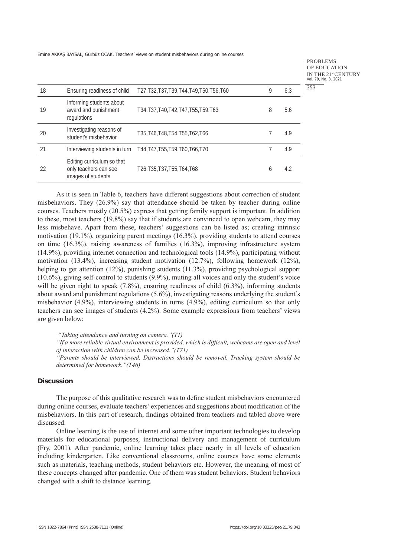PROBLEMS OF EDUCATION IN THE 21st CENTURY Vol. 79, No. 3, 2021 353

| 18 | Ensuring readiness of child                                               | T27, T32, T37, T39, T44, T49, T50, T56, T60                     | 9 | 6.3 |
|----|---------------------------------------------------------------------------|-----------------------------------------------------------------|---|-----|
| 19 | Informing students about<br>award and punishment<br>regulations           | T34, T37, T40, T42, T47, T55, T59, T63                          | 8 | 5.6 |
| 20 | Investigating reasons of<br>student's misbehavior                         | T35, T46, T48, T54, T55, T62, T66                               |   | 4.9 |
| 21 |                                                                           | Interviewing students in turn T44, T47, T55, T59, T60, T66, T70 |   | 4.9 |
| 22 | Editing curriculum so that<br>only teachers can see<br>images of students | T26, T35, T37, T55, T64, T68                                    | h | 4.2 |
|    |                                                                           |                                                                 |   |     |

As it is seen in Table 6, teachers have different suggestions about correction of student misbehaviors. They (26.9%) say that attendance should be taken by teacher during online courses. Teachers mostly (20.5%) express that getting family support is important. In addition to these, most teachers (19.8%) say that if students are convinced to open webcam, they may less misbehave. Apart from these, teachers' suggestions can be listed as; creating intrinsic motivation (19.1%), organizing parent meetings (16.3%), providing students to attend courses on time (16.3%), raising awareness of families (16.3%), improving infrastructure system (14.9%), providing internet connection and technological tools (14.9%), participating without motivation (13.4%), increasing student motivation (12.7%), following homework (12%), helping to get attention (12%), punishing students (11.3%), providing psychological support (10.6%), giving self-control to students (9.9%), muting all voices and only the student's voice will be given right to speak  $(7.8\%)$ , ensuring readiness of child  $(6.3\%)$ , informing students about award and punishment regulations (5.6%), investigating reasons underlying the student's misbehavior (4.9%), interviewing students in turns (4.9%), editing curriculum so that only teachers can see images of students (4.2%). Some example expressions from teachers' views are given below:

 *"Taking attendance and turning on camera."(T1)*

*"If a more reliable virtual environment is provided, which is difficult, webcams are open and level of interaction with children can be increased."(T71)*

*"Parents should be interviewed. Distractions should be removed. Tracking system should be determined for homework."(T46)*

#### **Discussion**

The purpose of this qualitative research was to define student misbehaviors encountered during online courses, evaluate teachers' experiences and suggestions about modification of the misbehaviors. In this part of research, findings obtained from teachers and tabled above were discussed.

Online learning is the use of internet and some other important technologies to develop materials for educational purposes, instructional delivery and management of curriculum (Fry, 2001). After pandemic, online learning takes place nearly in all levels of education including kindergarten. Like conventional classrooms, online courses have some elements such as materials, teaching methods, student behaviors etc. However, the meaning of most of these concepts changed after pandemic. One of them was student behaviors. Student behaviors changed with a shift to distance learning.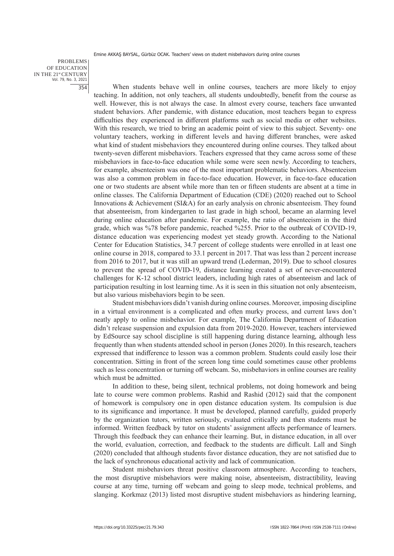PROBLEMS OF EDUCATION IN THE 21st CENTURY Vol. 79, No. 3, 2021 354

When students behave well in online courses, teachers are more likely to enjoy teaching. In addition, not only teachers, all students undoubtedly, benefit from the course as well. However, this is not always the case. In almost every course, teachers face unwanted student behaviors. After pandemic, with distance education, most teachers began to express difficulties they experienced in different platforms such as social media or other websites. With this research, we tried to bring an academic point of view to this subject. Seventy- one voluntary teachers, working in different levels and having different branches, were asked what kind of student misbehaviors they encountered during online courses. They talked about twenty-seven different misbehaviors. Teachers expressed that they came across some of these misbehaviors in face-to-face education while some were seen newly. According to teachers, for example, absenteeism was one of the most important problematic behaviors. Absenteeism was also a common problem in face-to-face education. However, in face-to-face education one or two students are absent while more than ten or fifteen students are absent at a time in online classes. The California Department of Education (CDE) (2020) reached out to School Innovations & Achievement (SI&A) for an early analysis on chronic absenteeism. They found that absenteeism, from kindergarten to last grade in high school, became an alarming level during online education after pandemic. For example, the ratio of absenteeism in the third grade, which was %78 before pandemic, reached %255. Prior to the outbreak of COVID-19, distance education was experiencing modest yet steady growth. According to the National Center for Education Statistics, 34.7 percent of college students were enrolled in at least one online course in 2018, compared to 33.1 percent in 2017. That was less than 2 percent increase from 2016 to 2017, but it was still an upward trend (Lederman, 2019). Due to school closures to prevent the spread of COVID-19, distance learning created a set of never-encountered challenges for K-12 school district leaders, including high rates of absenteeism and lack of participation resulting in lost learning time. As it is seen in this situation not only absenteeism, but also various misbehaviors begin to be seen.

Student misbehaviors didn't vanish during online courses. Moreover, imposing discipline in a virtual environment is a complicated and often murky process, and current laws don't neatly apply to online misbehavior. For example, The California Department of Education didn't release suspension and expulsion data from 2019-2020. However, teachers interviewed by EdSource say school discipline is still happening during distance learning, although less frequently than when students attended school in person (Jones 2020). In this research, teachers expressed that indifference to lesson was a common problem. Students could easily lose their concentration. Sitting in front of the screen long time could sometimes cause other problems such as less concentration or turning off webcam. So, misbehaviors in online courses are reality which must be admitted.

In addition to these, being silent, technical problems, not doing homework and being late to course were common problems. Rashid and Rashid (2012) said that the component of homework is compulsory one in open distance education system. Its compulsion is due to its significance and importance. It must be developed, planned carefully, guided properly by the organization tutors, written seriously, evaluated critically and then students must be informed. Written feedback by tutor on students' assignment affects performance of learners. Through this feedback they can enhance their learning. But, in distance education, in all over the world, evaluation, correction, and feedback to the students are difficult. Lall and Singh (2020) concluded that although students favor distance education, they are not satisfied due to the lack of synchronous educational activity and lack of communication.

Student misbehaviors threat positive classroom atmosphere. According to teachers, the most disruptive misbehaviors were making noise, absenteeism, distractibility, leaving course at any time, turning off webcam and going to sleep mode, technical problems, and slanging. Korkmaz (2013) listed most disruptive student misbehaviors as hindering learning,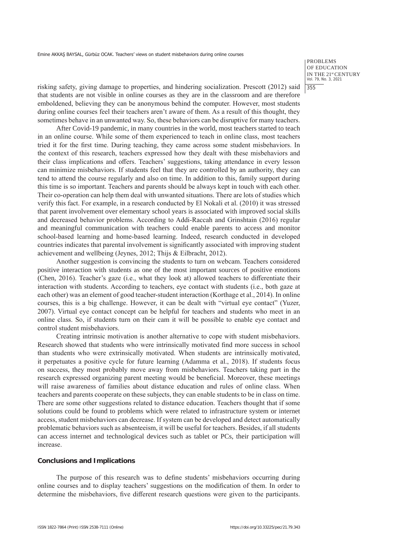PROBLEMS OF EDUCATION IN THE 21st CENTURY Vol. 79, No. 3, 2021 355

risking safety, giving damage to properties, and hindering socialization. Prescott (2012) said that students are not visible in online courses as they are in the classroom and are therefore emboldened, believing they can be anonymous behind the computer. However, most students during online courses feel their teachers aren't aware of them. As a result of this thought, they sometimes behave in an unwanted way. So, these behaviors can be disruptive for many teachers.

After Covid-19 pandemic, in many countries in the world, most teachers started to teach in an online course. While some of them experienced to teach in online class, most teachers tried it for the first time. During teaching, they came across some student misbehaviors. In the context of this research, teachers expressed how they dealt with these misbehaviors and their class implications and offers. Teachers' suggestions, taking attendance in every lesson can minimize misbehaviors. If students feel that they are controlled by an authority, they can tend to attend the course regularly and also on time. In addition to this, family support during this time is so important. Teachers and parents should be always kept in touch with each other. Their co-operation can help them deal with unwanted situations. There are lots of studies which verify this fact. For example, in a research conducted by El Nokali et al. (2010) it was stressed that parent involvement over elementary school years is associated with improved social skills and decreased behavior problems. According to Addi-Raccah and Grinshtain (2016) regular and meaningful communication with teachers could enable parents to access and monitor school-based learning and home-based learning. Indeed, research conducted in developed countries indicates that parental involvement is significantly associated with improving student achievement and wellbeing (Jeynes, 2012; Thijs & Eilbracht, 2012).

Another suggestion is convincing the students to turn on webcam. Teachers considered positive interaction with students as one of the most important sources of positive emotions (Chen, 2016). Teacher's gaze (i.e., what they look at) allowed teachers to differentiate their interaction with students. According to teachers, eye contact with students (i.e., both gaze at each other) was an element of good teacher-student interaction (Korthage et al., 2014). In online courses, this is a big challenge. However, it can be dealt with "virtual eye contact" (Yuzer, 2007). Virtual eye contact concept can be helpful for teachers and students who meet in an online class. So, if students turn on their cam it will be possible to enable eye contact and control student misbehaviors.

Creating intrinsic motivation is another alternative to cope with student misbehaviors. Research showed that students who were intrinsically motivated find more success in school than students who were extrinsically motivated. When students are intrinsically motivated, it perpetuates a positive cycle for future learning (Adamma et al., 2018). If students focus on success, they most probably move away from misbehaviors. Teachers taking part in the research expressed organizing parent meeting would be beneficial. Moreover, these meetings will raise awareness of families about distance education and rules of online class. When teachers and parents cooperate on these subjects, they can enable students to be in class on time. There are some other suggestions related to distance education. Teachers thought that if some solutions could be found to problems which were related to infrastructure system or internet access, student misbehaviors can decrease. If system can be developed and detect automatically problematic behaviors such as absenteeism, it will be useful for teachers. Besides, if all students can access internet and technological devices such as tablet or PCs, their participation will increase.

#### **Conclusions and Implications**

The purpose of this research was to define students' misbehaviors occurring during online courses and to display teachers' suggestions on the modification of them. In order to determine the misbehaviors, five different research questions were given to the participants.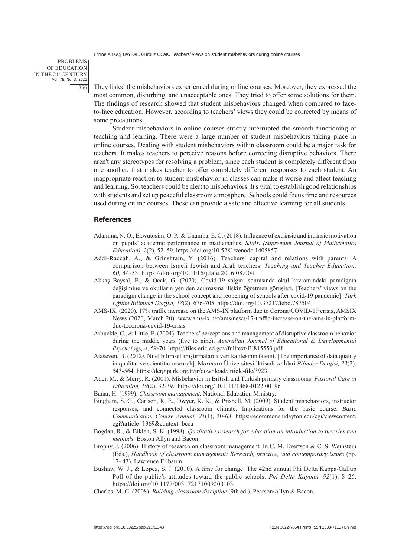PROBLEMS OF EDUCATION IN THE 21st CENTURY Vol. 79, No. 3, 2021 356

They listed the misbehaviors experienced during online courses. Moreover, they expressed the most common, disturbing, and unacceptable ones. They tried to offer some solutions for them. The findings of research showed that student misbehaviors changed when compared to faceto-face education. However, according to teachers' views they could be corrected by means of some precautions.

Student misbehaviors in online courses strictly interrupted the smooth functioning of teaching and learning. There were a large number of student misbehaviors taking place in online courses. Dealing with student misbehaviors within classroom could be a major task for teachers. It makes teachers to perceive reasons before correcting disruptive behaviors. There aren't any stereotypes for resolving a problem, since each student is completely different from one another, that makes teacher to offer completely different responses to each student. An inappropriate reaction to student misbehavior in classes can make it worse and affect teaching and learning. So, teachers could be alert to misbehaviors. It's vital to establish good relationships with students and set up peaceful classroom atmosphere. Schools could focus time and resources used during online courses. These can provide a safe and effective learning for all students.

## **References**

- Adamma, N. O., Ekwutosim, O. P., & Unamba, E. C. (2018). Influence of extrinsic and intrinsic motivation on pupils' academic performance in mathematics. *SJME (Supremum Journal of Mathematics Education), 2*(2), 52–59. https://doi.org/10.5281/zenodo.1405857
- Addi-Raccah, A., & Grinshtain, Y. (2016). Teachers' capital and relations with parents: A comparison between Israeli Jewish and Arab teachers. *Teaching and Teacher Education, 60,* 44-53. https://doi.org/10.1016/j.tate.2016.08.004
- Akkaş Baysal, E., & Ocak, G. (2020). Covid-19 salgını sonrasında okul kavramındaki paradigma değişimine ve okulların yeniden açılmasına ilişkin öğretmen görüşleri. [Teachers' views on the paradigm change in the school concept and reopening of schools after covid-19 pandemic]. *Türk Eğitim Bilimleri Dergisi, 18*(2), 676-705. https://doi.org/10.37217/tebd.787504
- AMS-IX. (2020). 17% traffic increase on the AMS-IX platform due to Corona/COVID-19 crisis, AMSIX News (2020, March 20). www.ams-ix.net/ams/news/17-traffic-increase-on-the-ams-ix-platformdue-tocorona-covid-19-crisis
- Arbuckle, C., & Little, E. (2004). Teachers' perceptions and management of disruptive classroom behavior during the middle years (five to nine). *Australian Journal of Educational & Developmental Psychology, 4*, 59-70. https://files.eric.ed.gov/fulltext/EJ815553.pdf
- Ataseven, B. (2012*).* Nitel bilimsel araştırmalarda veri kalitesinin önemi. [The importance of data quality in qualitative scientific research]. M*armara* Üniversitesi İktisadi *ve* İdari *Bilimler Dergisi, 33*(2), 543-564. https://dergipark.org.tr/tr/download/article-file/3923
- Atıcı, M., & Merry, R. (2001). Misbehavior in British and Turkish primary classrooms. *Pastoral Care in Education, 19*(2), 32-39. https://doi.org/10.1111/1468-0122.00196
- Baúar, H. (1999). *Classroom management.* National Education Ministry.
- Bingham, S. G., Carlson, R. E., Dwyer, K. K., & Prisbell, M. (2009). Student misbehaviors, instructor responses, and connected classroom climate: Implications for the basic course. *Basic Communication Course Annual, 21*(1), 30-68. https://ecommons.udayton.edu/cgi/viewcontent. cgi?article=1369&context=bcca
- Bogdan, R., & Biklen, S. K. (1998). *Qualitative research for education an introduction to theories and methods.* Boston Allyn and Bacon.
- Brophy, J. (2006). History of research on classroom management. In C. M. Evertson & C. S. Weinstein (Eds.), *Handbook of classroom management: Research, practice, and contemporary issues* (pp. 17- 43). Lawrence Erlbaum.
- Bushaw, W. J., & Lopez, S. J. (2010). A time for change: The 42nd annual Phi Delta Kappa/Gallup Poll of the public's attitudes toward the public schools. *Phi Delta Kappan, 92*(1), 8–26. https://doi.org/10.1177/003172171009200103
- Charles, M. C. (2008). *Building classroom discipline* (9th ed.). Pearson/Allyn & Bacon.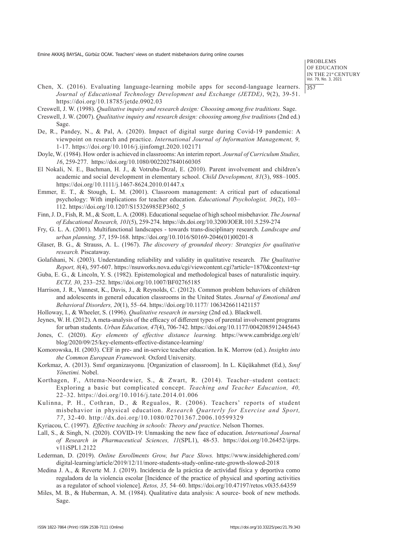PROBLEMS OF EDUCATION IN THE 21st CENTURY Vol. 79, No. 3, 2021 357

- Chen, X. (2016). Evaluating language-learning mobile apps for second-language learners. *Journal of Educational Technology Development and Exchange (JETDE)*, 9(2), 39-51. https://doi.org/10.18785/jetde.0902.03
- Creswell, J. W. (1998). *Qualitative inquiry and research design: Choosing among five traditions.* Sage.
- Creswell, J. W. (2007). *Qualitative inquiry and research design: choosing among five traditions* (2nd ed.) Sage.
- De, R., Pandey, N., & Pal, A. (2020). Impact of digital surge during Covid-19 pandemic: A viewpoint on research and practice. *International Journal of Information Management, 9,* 1-17. https://doi.org/10.1016/j.ijinfomgt.2020.102171
- Doyle, W. (1984). How order is achieved in classrooms: An interim report. *Journal of Curriculum Studies, 16*, 259-277. https://doi.org/10.1080/0022027840160305
- El Nokali, N. E., Bachman, H. J., & Votruba‐Drzal, E. (2010). Parent involvement and children's academic and social development in elementary school. *Child Development, 81*(3), 988–1005. https://doi.org/10.1111/j.1467-8624.2010.01447.x
- Emmer, E. T., & Stough, L. M. (2001). Classroom management: A critical part of educational psychology: With implications for teacher education. *Educational Psychologist, 36*(2), 103– 112. https://doi.org/10.1207/S15326985EP3602\_5
- Finn, J. D., Fish, R. M., & Scott, L. A. (2008). Educational sequelae of high school misbehavior. *The Journal of Educational Research, 101*(5), 259-274. https://dx.doi.org/10.3200/JOER.101.5.259-274
- Fry, G. L. A. (2001). Multifunctional landscapes towards trans-disciplinary research. *Landscape and urban planning, 57*, 159-168. https://doi.org/10.1016/S0169-2046(01)00201-8
- Glaser, B. G., & Strauss, A. L. (1967). *The discovery of grounded theory: Strategies for qualitative research.* Piscataway.
- Golafshani, N. (2003). Understanding reliability and validity in qualitative research. *The Qualitative Report, 8*(4), 597-607. https://nsuworks.nova.edu/cgi/viewcontent.cgi?article=1870&context=tqr
- Guba, E. G., & Lincoln, Y. S. (1982). Epistemological and methodological bases of naturalistic inquiry. *ECTJ, 30*, 233–252. https://doi.org/10.1007/BF02765185
- Harrison, J. R., Vannest, K., Davis, J., & Reynolds, C. (2012). Common problem behaviors of children and adolescents in general education classrooms in the United States. *Journal of Emotional and Behavioral Disorders, 20*(1), 55–64. https://doi.org/10.1177/ 1063426611421157
- Holloway, I., & Wheeler, S. (1996). *Qualitative research in nursing* (2nd ed.). Blackwell.
- Jeynes, W. H. (2012). A meta-analysis of the efficacy of different types of parental involvement programs for urban students. *Urban Education, 47*(4), 706-742. https://doi.org/10.1177/0042085912445643
- Jones, C. (2020). *Key elements of effective distance learning.* https://www.cambridge.org/elt/ blog/2020/09/25/key-elements-effective-distance-learning/
- Komorowska, H. (2003). CEF in pre- and in-service teacher education. In K. Morrow (ed.). *Insights into the Common European Framework.* Oxford University.
- Korkmaz, A. (2013). Sınıf organizasyonu. [Organization of classroom]. In L. Küçükahmet (Ed.), *Sınıf Yönetimi.* Nobel.
- Korthagen, F., Attema-Noordewier, S., & Zwart, R. (2014). Teacher–student contact: Exploring a basic but complicated concept. *Teaching and Teacher Education, 40,* 22–32. https://doi.org/10.1016/j.tate.2014.01.006
- Kulinna, P. H., Cothran, D., & Regualos, R. (2006). Teachers' reports of student misbehavior in physical education. *Research Quarterly for Exercise and Sport, 77*, 32-40. http://dx.doi.org/10.1080/02701367.2006.10599329
- Kyriacou, C. (1997). *Effective teaching in schools: Theory and practice*. Nelson Thornes.
- Lall, S., & Singh, N. (2020). COVID-19: Unmasking the new face of education. *International Journal of Research in Pharmaceutical Sciences, 11*(SPL1), 48-53. https://doi.org/10.26452/ijrps. v11iSPL1.2122
- Lederman, D. (2019). *Online Enrollments Grow, but Pace Slows.* https://www.insidehighered.com/ digital-learning/article/2019/12/11/more-students-study-online-rate-growth-slowed-2018
- Medina J. A., & Reverte M. J. (2019). Incidencia de la práctica de actividad física y deportiva como reguladora de la violencia escolar [Incidence of the practice of physical and sporting activities as a regulator of school violence]. *Retos, 35,* 54–60. https://doi.org/10.47197/retos.v0i35.64359
- Miles, M. B., & Huberman, A. M. (1984). Qualitative data analysis: A source- book of new methods. Sage.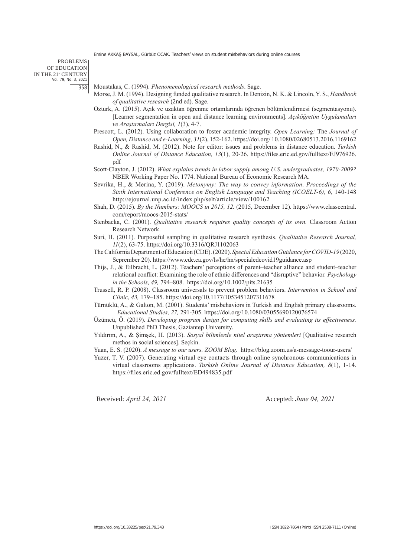#### PROBLEMS OF EDUCATION IN THE 21st CENTURY Vol. 79, No. 3, 2021 358

- Moustakas, C. (1994). *Phenomenological research methods*. Sage.
- Morse, J. M. (1994). Designing funded qualitative research. In Denizin, N. K. & Lincoln, Y. S., *Handbook of qualitative research* (2nd ed). Sage.
- Ozturk, A. (2015). Açık ve uzaktan öğrenme ortamlarında öğrenen bölümlendirmesi (segmentasyonu). [Learner segmentation in open and distance learning environments]. *Açıköğretim Uygulamaları ve Araştırmaları Dergisi, 1*(3), 4-7.
- Prescott, L. (2012). Using collaboration to foster academic integrity. *Open Learning:* The *Journal of Open, Distance and e-Learning, 31*(2), 152-162. https://doi.org/ 10.1080/02680513.2016.1169162
- Rashid, N., & Rashid, M. (2012). Note for editor: issues and problems in distance education. *Turkish Online Journal of Distance Education, 13*(1), 20-26. https://files.eric.ed.gov/fulltext/EJ976926. pdf
- Scott-Clayton, J. (2012). *What explains trends in labor supply among U.S. undergraduates, 1970-2009?* NBER Working Paper No. 1774. National Bureau of Economic Research MA.
- Sevrika, H., & Merina, Y. (2019). *Metonymy: The way to convey information*. *Proceedings of the Sixth International Conference on English Language and Teaching (ICOELT-6), 6,* 140-148 http://ejournal.unp.ac.id/index.php/selt/article/view/100162
- Shah, D. (2015). *By the Numbers: MOOCS in 2015, 12.* (2015, December 12). https://www.classcentral. com/report/moocs-2015-stats/
- Stenbacka, C. (2001). *Qualitative research requires quality concepts of its own.* Classroom Action Research Network.
- Suri, H. (2011). Purposeful sampling in qualitative research synthesis. *Qualitative Research Journal, 11*(2), 63-75. https://doi.org/10.3316/QRJ1102063
- The California Department of Education (CDE). (2020). *Special Education Guidance for COVID-19* (2020, Seprember 20). https://www.cde.ca.gov/ls/he/hn/specialedcovid19guidance.asp
- Thijs, J., & Eilbracht, L. (2012). Teachers' perceptions of parent–teacher alliance and student–teacher relational conflict: Examining the role of ethnic differences and "disruptive" behavior*. Psychology in the Schools, 49,* 794–808. https://doi.org/10.1002/pits.21635
- Trussell, R. P. (2008). Classroom universals to prevent problem behaviors. *Intervention in School and Clinic, 43,* 179–185. https://doi.org/10.1177/1053451207311678
- Türnüklü, A., & Galton, M. (2001). Students' misbehaviors in Turkish and English primary classrooms. *Educational Studies, 27,* 291-305. https://doi.org/10.1080/03055690120076574
- Üzümcü, Ö. (2019). *Developing program design for computing skills and evaluating its effectiveness.* Unpublished PhD Thesis, Gaziantep University.
- Yıldırım, A., & Şimşek, H. (2013). *Sosyal bilimlerde nitel araştırma yöntemleri* [Qualitative research methos in social sciences]. Seçkin.

Yuan, E. S. (2020). *A message to our users. ZOOM Blog*. https://blog.zoom.us/a-message-toour-users/

Yuzer, T. V. (2007). Generating virtual eye contacts through online synchronous communications in virtual classrooms applications. *Turkish Online Journal of Distance Education, 8*(1), 1-14. https://files.eric.ed.gov/fulltext/ED494835.pdf

Received: *April 24, 2021* Accepted: *June 04, 2021*